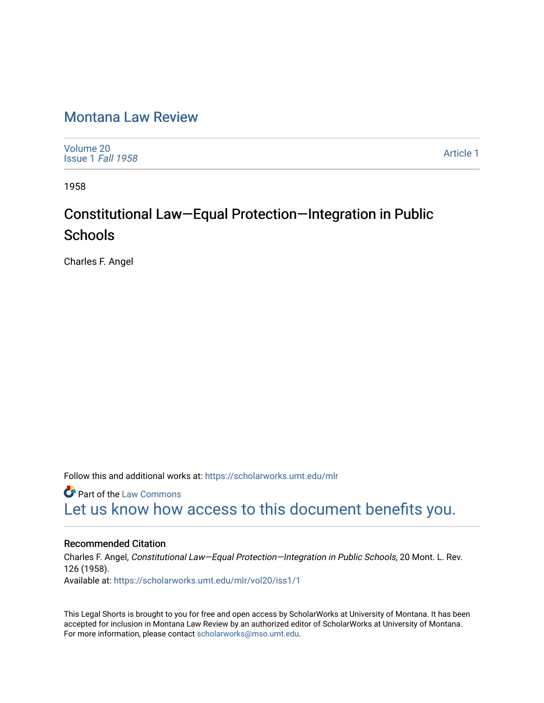## [Montana Law Review](https://scholarworks.umt.edu/mlr)

[Volume 20](https://scholarworks.umt.edu/mlr/vol20) [Issue 1](https://scholarworks.umt.edu/mlr/vol20/iss1) Fall 1958

[Article 1](https://scholarworks.umt.edu/mlr/vol20/iss1/1) 

1958

# Constitutional Law—Equal Protection—Integration in Public **Schools**

Charles F. Angel

Follow this and additional works at: [https://scholarworks.umt.edu/mlr](https://scholarworks.umt.edu/mlr?utm_source=scholarworks.umt.edu%2Fmlr%2Fvol20%2Fiss1%2F1&utm_medium=PDF&utm_campaign=PDFCoverPages) 

**Part of the [Law Commons](http://network.bepress.com/hgg/discipline/578?utm_source=scholarworks.umt.edu%2Fmlr%2Fvol20%2Fiss1%2F1&utm_medium=PDF&utm_campaign=PDFCoverPages)** [Let us know how access to this document benefits you.](https://goo.gl/forms/s2rGfXOLzz71qgsB2) 

### Recommended Citation

Charles F. Angel, Constitutional Law—Equal Protection—Integration in Public Schools, 20 Mont. L. Rev. 126 (1958). Available at: [https://scholarworks.umt.edu/mlr/vol20/iss1/1](https://scholarworks.umt.edu/mlr/vol20/iss1/1?utm_source=scholarworks.umt.edu%2Fmlr%2Fvol20%2Fiss1%2F1&utm_medium=PDF&utm_campaign=PDFCoverPages) 

This Legal Shorts is brought to you for free and open access by ScholarWorks at University of Montana. It has been accepted for inclusion in Montana Law Review by an authorized editor of ScholarWorks at University of Montana. For more information, please contact [scholarworks@mso.umt.edu.](mailto:scholarworks@mso.umt.edu)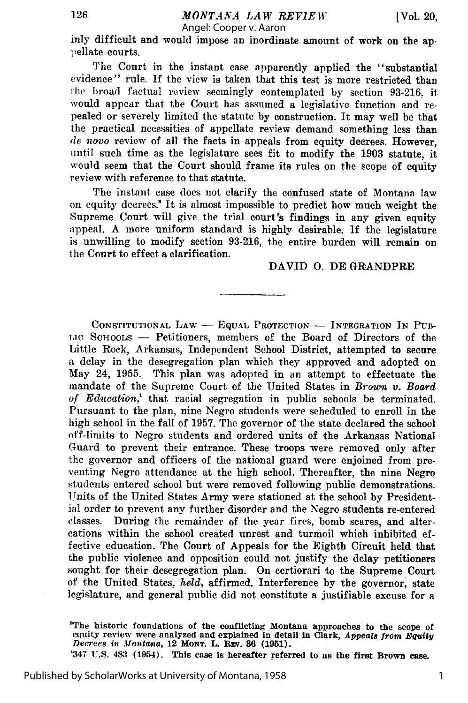inly difficult and would impose an inordinate amount of work on the aplellate courts.

The Court in the instant case apparently applied the "substantial evidence" rule. If the view is taken that this test is more restricted than the broad factual review seemingly contemplated by section 93-216, it would appear that the Court has assumed a legislative function and repealed or severely limited the statute by construction. It may well be that the practical necessities of appellate review demand something less than *de novo* review of all the facts in appeals from equity decrees. However, until such time as the legislature sees fit to modify the 1903 statute, it would seem that the Court should frame its rules on the scope of equity review with reference to that statute.

The instant case does not clarify the confused state of Montana law on equity decrees.' It is almost impossible to predict how much weight the Supreme Court will give the trial court's findings in any given equity appeal. A more uniform standard is highly desirable. If the legislature is unwilling to modify section 93-216, the entire burden will remain on the Court to effect a clarification.

#### DAVID **0.** DE GRANDPRE

CONSTITUTIONAL LAW - EQUAL PROTECTION - INTEGRATION IN PUB-LIC SCHOOLS - Petitioners, members of the Board of Directors of the Little Rock, Arkansas, Independent School District, attempted to secure a delay in the desegregation plan which they approved and adopted on May 24, 1955. This plan was adopted in an attempt to effectuate the mandate of the Supreme Court of the United States in *Brown v. Board* of Education,<sup>1</sup> that racial segregation in public schools be terminated. Pursuant to the plan, nine Negro students were scheduled to enroll in the high school in the fall of 1957. The governor of the state declared the school off-limits to Negro students and ordered units of the Arkansas National Guard to prevent their entrance. These troops were removed only after the governor and officers of the national guard were enjoined from preventing Negro attendance at the high school. Thereafter, the nine Negro students entered school but were removed following public demonstrations. 1Thits of the United States Army were stationed at the school by Presidential order to prevent any further disorder and the Negro students re-entered classes. During the remainder of the year fires, bomb scares, and altercations within the school created unrest and turmoil which inhibited effective education. The Court of Appeals for the Eighth Circuit held that the public violence and opposition could not justify the delay petitioners sought for their desegregation plan. On certiorari to the Supreme Court of the United States, *held,* affirmed. Interference by the governor, state legislature, and general public did not constitute a justifiable excuse for a

'The historic **foundations of the conflicting Montana approaches to the** scope of equity review were analyzed **and** explained In detail **In** Clark, *Appeals* from *Equity Decrees* in *Montamta,* 12 **MONT. L. Rv. 36 (1951).**

'347 **U.S. 483** (1954). This **case is** hereafter referred to **as** the **first Brown case.**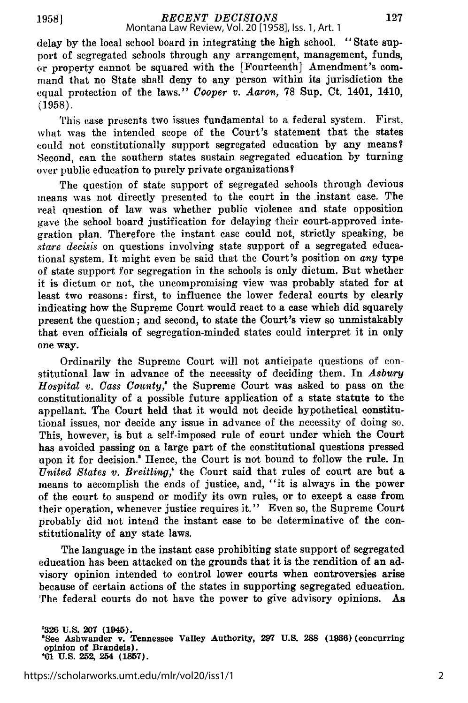delay by the local school board in integrating the high school. "State support of segregated schools through any arrangement, management, funds, or property cannot be squared with the [Fourteenth] Amendment's command that no State shall deny to any person within its jurisdiction the equal protection of the laws." *Cooper v. Aaron,* 78 Sup. Ct. 1401, 1410, (1958).

This case presents two issues fundamental to a federal system. First, what was the intended scope of the Court's statement that the states could not constitutionally support segregated education by any means? Second, can the southern states sustain segregated education by turning over public education to purely private organizations?

The question of state support of segregated schools through devious means was not directly presented to the court in the instant case. The real question of law was whether public violence and state opposition gave the school board justification for delaying their court-approved integration plan. Therefore the instant case could not, strictly speaking, be *stare decisis* on questions involving state support of a segregated educational system. It might even be said that the Court's position on *any* type of state support for segregation in the schools is only dictum. But whether it is dictum or not, the uncompromising view was probably stated for at least two reasons: first, to influence the lower federal courts by clearly indicating how the Supreme Court would react to a case which did squarely present the question; and second, to state the Court's view so unmistakably that even officials of segregation-minded states could interpret it in only one way.

Ordinarily the Supreme Court will not anticipate questions of constitutional law in advance of the necessity of deciding them. In *Asbury Hospital v. Cass County,'* the Supreme Court was asked to pass on the constitutionality of a possible future application of a state statute to the appellant. The Court held that it would not decide hypothetical constitutional issues, nor decide any issue in advance of the necessity of doing so. This, however, is but a self-imposed rule of court under which the Court has avoided passing on a large part of the constitutional questions pressed upon it for decision.<sup>8</sup> Hence, the Court is not bound to follow the rule. In *United States v. Breitling,'* the Court said that rules of court are but a means to accomplish the ends of justice, and, "it is always in the power of the court to suspend or modify its own rules, or to except a case from their operation, whenever justice requires it." Even so, the Supreme Court probably did not intend the instant case to be determinative of the constitutionality of any state laws.

The language in the instant case prohibiting state support of segregated education has been attacked on the grounds that it is the rendition of an advisory opinion intended to control lower courts when controversies arise because of certain actions of the states in supporting segregated education. The federal courts do not have the power to give advisory opinions. As

**<sup>&#</sup>x27;326 U.S. 207 (1945). 8See Ashwander v. Tennessee Valley Authority, 297 U.S. 288 (1936) (concurring opinion of Brandeis). '61 U.S. 252, 254 (1857).**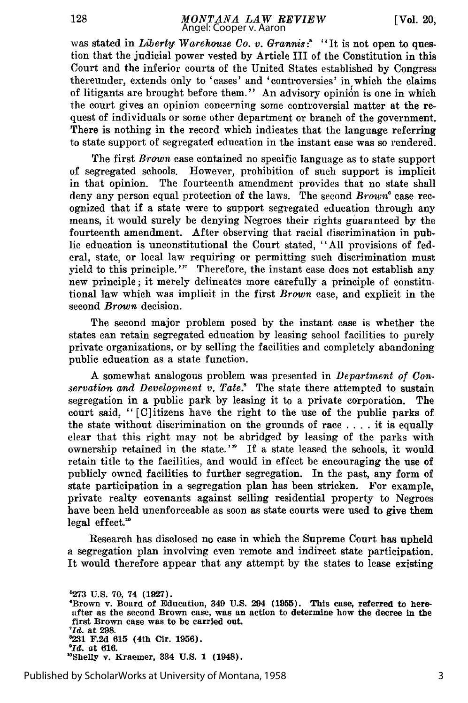was stated in *Liberty Warehouse Co. v. Grannis*:<sup>8</sup> "It is not open to question that the judicial power vested by Article III of the Constitution in this Court and the inferior courts of the United States established by Congress thereunder, extends only to 'cases' and 'controversies' in which the claims of litigants are brought before them." An advisory opinion is one in which the court gives an opinion concerning some controversial matter at the request of individuals or some other department or branch of the government. There is nothing in the record which indicates that the language referring to state support of segregated education in the instant case was so rendered.

The first *Brown* case contained no specific language as to state support of segregated schools. However, prohibition of such support is implicit in that opinion. The fourteenth amendment provides that no state shall deny any person equal protection of the laws. The second *Brown"* case recognized that if a state were to support segregated education through any means, it would surely be denying Negroes their rights guaranteed by the fourteenth amendment. After observing that racial discrimination in public education is unconstitutional the Court stated, "All provisions of federal, state, or local law requiring or permitting such discrimination must yield to this principle."' Therefore, the instant case does not establish any new principle; it merely delineates more carefully a principle of constitutional law which was implicit in the first *Brown* case, and explicit in the second *Brown* decision.

The second major problem posed by the instant case is whether the states can retain segregated education by leasing school facilities to purely private organizations, or by selling the facilities and completely abandoning public education as a state function.

A somewhat analogous problem was presented in *Department of Conservation and Development v. Tate.'* The state there attempted to sustain segregation in a public park by leasing it to a private corporation. The court said, " [C]itizens have the right to the use of the public parks of the state without discrimination on the grounds of race  $\dots$  it is equally clear that this right may not be abridged by leasing of the parks with ownership retained in the state."' If a state leased the schools, it would retain title to the facilities, and would in effect be encouraging the use of publicly owned facilities to further segregation. In the past, any form of state participation in a segregation plan has been stricken. For example, private realty covenants against selling residential property to Negroes have been held unenforceable as soon as state courts were used to give them legal effect."

Research has disclosed no case in which the Supreme Court has upheld a segregation plan involving even remote and indirect state participation. It would therefore appear that any attempt by the states to lease existing

**'273 U.S. 70, 74 (1927). eBrown v. Board of Education, 349 U.S. 294 (1955). This case, referred to here**after **as the second Brown case, was an action to determine how the decree in the** first Brown case was to be carried out. *'Id.* **at 298. 8231 F.2d 615 (4th Cir. 1956).** <sup>10</sup>Shelly v. Kraemer, 334 U.S. 1 (1948).

Published by ScholarWorks at University of Montana, 1958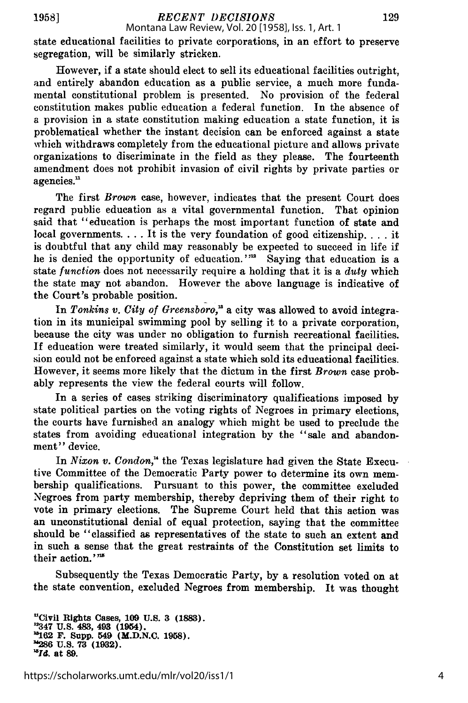**1958]**

*RECENT DECISIONS* Montana Law Review, Vol. 20 [1958], Iss. 1, Art. 1

state educational facilities to private corporations, in an effort to preserve segregation, will be similarly stricken.

However, if a state should elect to sell its educational facilities outright, and entirely abandon education as a public service, a much more fundamental constitutional problem is presented. No provision of the federal constitution makes public education a federal function. In the absence of a provision in a state constitution making education a state function, it is problematical whether the instant decision can be enforced against a state which withdraws completely from the educational picture and allows private organizations to discriminate in the field as they please. The fourteenth amendment does not prohibit invasion of civil rights by private parties or agencies."

The first *Brown* case, however, indicates that the present Court does regard public education as a vital governmental function. That opinion said that "education is perhaps the most important function of state and local governments. . . . It is the very foundation of good citizenship. . . . it is doubtful that any child may reasonably be expected to succeed in life if he is denied the opportunity of education. **"'** Saying that education is a state *function* does not necessarily require a holding that it is a *duty* which the state may not abandon. However the above language is indicative of the Court's probable position.

In *Tonkins v. City of Greensboro*,<sup>18</sup> a city was allowed to avoid integration in its municipal swimming pool by selling it to a private corporation, because the city was under no obligation to furnish recreational facilities. If education were treated similarly, it would seem that the principal decision could not be enforced against a state which sold its educational facilities. However, it seems more likely that the dictum in the first *Brown* case probably represents the view the federal courts will follow.

In a series of cases striking discriminatory qualifications imposed by state political parties on the voting rights of Negroes in primary elections, the courts have furnished an analogy which might be used to preclude the states from avoiding educational integration by the "sale and abandonment" device.

In *Nixon v. Condon,"* the Texas legislature had given the State Executive Committee of the Democratic Party power to determine its own membership qualifications. Pursuant to this power, the committee excluded Negroes from party membership, thereby depriving them of their right to vote in primary elections. The Supreme Court held that this action was an unconstitutional denial of equal protection, saying that the committee should be "classified as representatives of the state to such an extent and in such a sense that the great restraints of the Constitution set limits to their action.' **"**

Subsequently the Texas Democratic Party, by a resolution voted on at the state convention, excluded Negroes from membership. It was thought

**uCivil Rights** Cases, **109 U.S. 3 (1883). "347 U.S. 483, 493 (1954). 1162 F. Supp. 549 (M.D.N.C. 1958). "1286 U.S. 73 (1932).** *1Id.* **at 89.**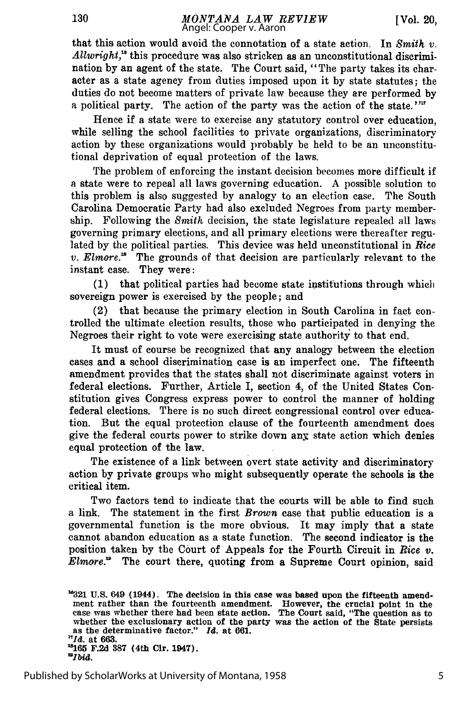130

that this action would avoid the connotation of a state action. In *Smith v.* Allwright,<sup>16</sup> this procedure was also stricken as an unconstitutional discrimination by an agent of the state. The Court said, "The party takes its character as a state agency from duties imposed upon it by state statutes; the duties do not become matters of private law because they are performed by a political party. The action of the party was the action of the state.""

Hence if a state were to exercise any statutory control over education, while selling the school facilities to private organizations, discriminatory action by these organizations would probably be held to be an unconstitutional deprivation of equal protection of the laws.

The problem of enforcing the instant decision becomes more difficult if a state were to repeal all laws governing education. A possible solution to this problem is also suggested by analogy to an election case. The South Carolina Democratic Party had also excluded Negroes from party membership. Following the *Smith* decision, the state legislature repealed all laws governing primary elections, and all primary elections were thereafter regulated by the political parties. This device was held unconstitutional in *Rice v. Elmore.*<sup> $\mu$ </sup> The grounds of that decision are particularly relevant to the instant case. They were:

(1) that political parties had become state institutions through which sovereign power is exercised by the people; and

(2) that because the primary election in South Carolina in fact controlled the ultimate election results, those who participated in denying the Negroes their right to vote were exercising state authority to that end.

It must of course be recognized that any analogy between the election cases and a school discrimination case is an imperfect one. The fifteenth amendment provides that the states shall not discriminate against voters in federal elections. Further, Article I, section 4, of the United States Constitution gives Congress express power to control the manner of holding federal elections. There is no such direct congressional control over education. But the equal protection clause of the fourteenth amendment does give the federal courts power to strike down any state action which denies equal protection of the law.

The existence of a link between overt state activity and discriminatory action by private groups who might subsequently operate the schools is the critical item.

Two factors tend to indicate that the courts will be able to find such a link. The statement in the first *Brown* case that public education is a governmental function is the more obvious. It may imply that a state cannot abandon education as a state function. The second indicator is the position taken by the Court of Appeals for the Fourth Circuit in *Rice v. Elmore.'* The court there, quoting from a Supreme Court opinion, said

**<sup>&</sup>quot;321 U.S.** 649 (1944). The decision in this case was based upon the fifteenth amendment rather than the fourteenth amendment. However, the crucial point in the case was whether there had been state action. The Court said, "The question as to whether the exclusionary action of the party was the action of the State persists as the determinative factor." *Id.* at **661.** as the deu<sup>17</sup>*d*, at 663. **1165 F.2d 387** (4th Cir. 1947). *"Ibid.*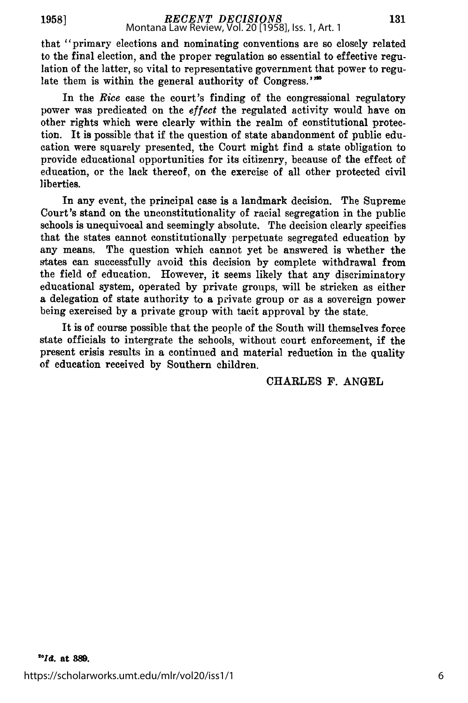**1958]**

## *RECENT DECISIONS* Montana Law Review, Vol. 20 [1958], Iss. 1, Art. 1

that "primary elections and nominating conventions are so closely related to the final election, and the proper regulation so essential to effective regulation of the latter, so vital to representative government that power to regulate them is within the general authority of Congress."<sup>20</sup>

In the *Rice* case the court's finding of the congressional regulatory power was predicated on the *effect* the regulated activity would have on other rights which were clearly within the realm of constitutional protection. It **is** possible that if the question of state abandonment of public education were squarely presented, the Court might find a state obligation to provide educational opportunities for its citizenry, because of the effect of education, or the lack thereof, on the exercise of all other protected civil liberties.

In any event, the principal case is a landmark decision. The Supreme Court's stand on the unconstitutionality of racial segregation in the public schools is unequivocal and seemingly absolute. The decision clearly specifies that the states cannot constitutionally perpetuate segregated education **by** any means. The question which cannot yet be answered is whether the states can successfully avoid this decision **by** complete withdrawal from the field of education. However, it seems **likely** that any discriminatory educational system, operated **by** private groups, will be stricken as either a delegation of state authority to a private group or as a sovereign power being exercised **by** a private group with tacit approval **by** the state.

It is of course possible that the people of the South will themselves force state officials to intergrate the schools, without court enforcement, if the present crisis results in a continued and material reduction in the quality of education received **by** Southern children.

CHARLES **F. ANGEL**